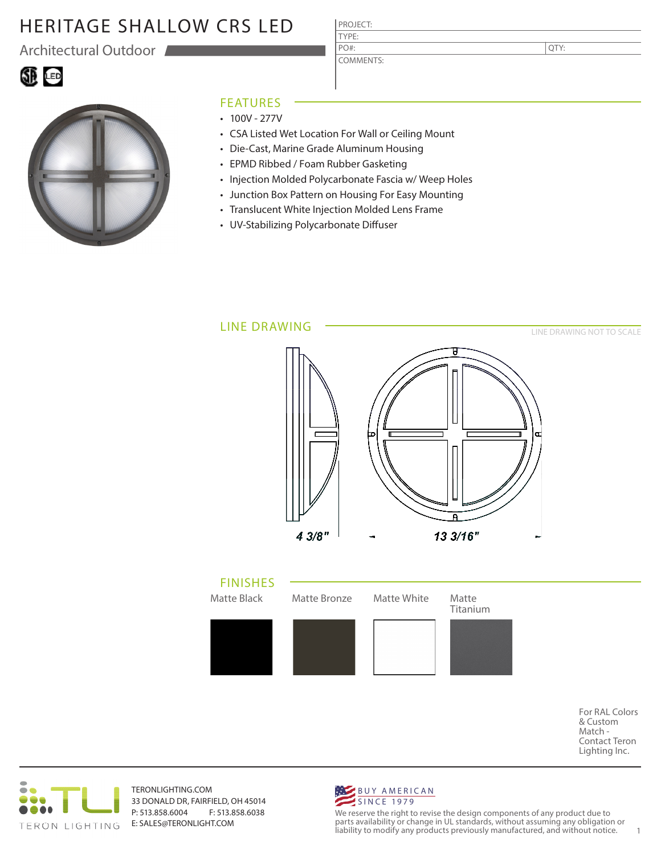# HERITAGE SHALLOW CRS LED

Architectural Outdoor





#### FEATURES

- $\cdot$  100V 277V
- CSA Listed Wet Location For Wall or Ceiling Mount

PROJECT: TYPE:

PO#:

COMMENTS:

- Die-Cast, Marine Grade Aluminum Housing
- EPMD Ribbed / Foam Rubber Gasketing
- Injection Molded Polycarbonate Fascia w/ Weep Holes
- Junction Box Pattern on Housing For Easy Mounting
- Translucent White Injection Molded Lens Frame
- UV-Stabilizing Polycarbonate Diffuser



For RAL Colors & Custom Match - Contact Teron Lighting Inc.



TERONLIGHTING.COM 33 DONALD DR, FAIRFIELD, OH 45014 P: 513.858.6004 F: 513.858.6038 E: SALES@TERONLIGHT.COM



We reserve the right to revise the design components of any product due to parts availability or change in UL standards, without assuming any obligation or liability to modify any products previously manufactured, and without notice. 1

QTY: